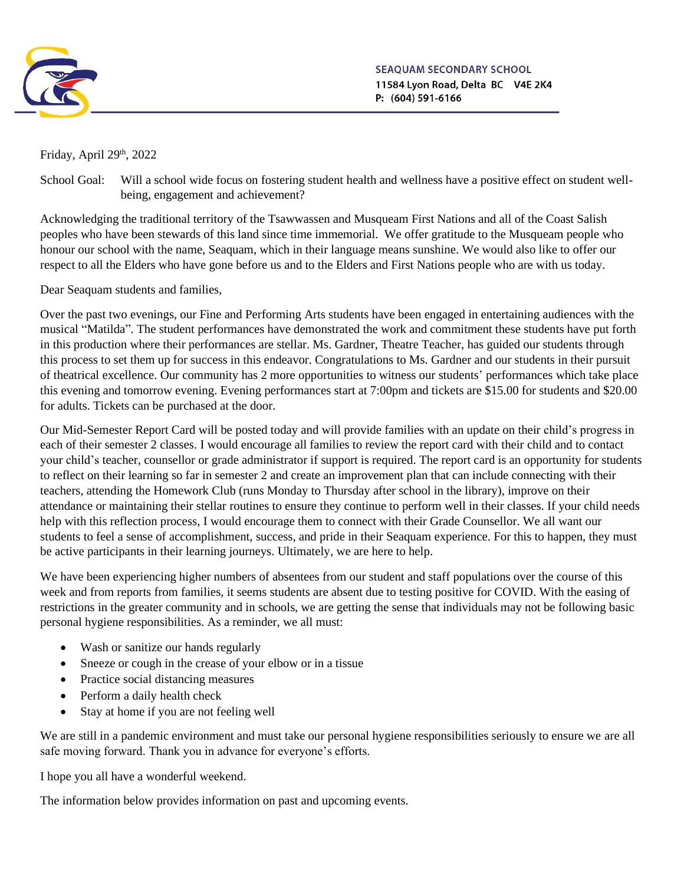

SEAOUAM SECONDARY SCHOOL 11584 Lyon Road, Delta BC V4E 2K4 P: (604) 591-6166

Friday, April  $29<sup>th</sup>$ , 2022

School Goal: Will a school wide focus on fostering student health and wellness have a positive effect on student wellbeing, engagement and achievement?

Acknowledging the traditional territory of the Tsawwassen and Musqueam First Nations and all of the Coast Salish peoples who have been stewards of this land since time immemorial. We offer gratitude to the Musqueam people who honour our school with the name, Seaquam, which in their language means sunshine. We would also like to offer our respect to all the Elders who have gone before us and to the Elders and First Nations people who are with us today.

Dear Seaquam students and families,

Over the past two evenings, our Fine and Performing Arts students have been engaged in entertaining audiences with the musical "Matilda". The student performances have demonstrated the work and commitment these students have put forth in this production where their performances are stellar. Ms. Gardner, Theatre Teacher, has guided our students through this process to set them up for success in this endeavor. Congratulations to Ms. Gardner and our students in their pursuit of theatrical excellence. Our community has 2 more opportunities to witness our students' performances which take place this evening and tomorrow evening. Evening performances start at 7:00pm and tickets are \$15.00 for students and \$20.00 for adults. Tickets can be purchased at the door.

Our Mid-Semester Report Card will be posted today and will provide families with an update on their child's progress in each of their semester 2 classes. I would encourage all families to review the report card with their child and to contact your child's teacher, counsellor or grade administrator if support is required. The report card is an opportunity for students to reflect on their learning so far in semester 2 and create an improvement plan that can include connecting with their teachers, attending the Homework Club (runs Monday to Thursday after school in the library), improve on their attendance or maintaining their stellar routines to ensure they continue to perform well in their classes. If your child needs help with this reflection process, I would encourage them to connect with their Grade Counsellor. We all want our students to feel a sense of accomplishment, success, and pride in their Seaquam experience. For this to happen, they must be active participants in their learning journeys. Ultimately, we are here to help.

We have been experiencing higher numbers of absentees from our student and staff populations over the course of this week and from reports from families, it seems students are absent due to testing positive for COVID. With the easing of restrictions in the greater community and in schools, we are getting the sense that individuals may not be following basic personal hygiene responsibilities. As a reminder, we all must:

- Wash or sanitize our hands regularly
- Sneeze or cough in the crease of your elbow or in a tissue
- Practice social distancing measures
- Perform a daily health check
- Stay at home if you are not feeling well

We are still in a pandemic environment and must take our personal hygiene responsibilities seriously to ensure we are all safe moving forward. Thank you in advance for everyone's efforts.

I hope you all have a wonderful weekend.

The information below provides information on past and upcoming events.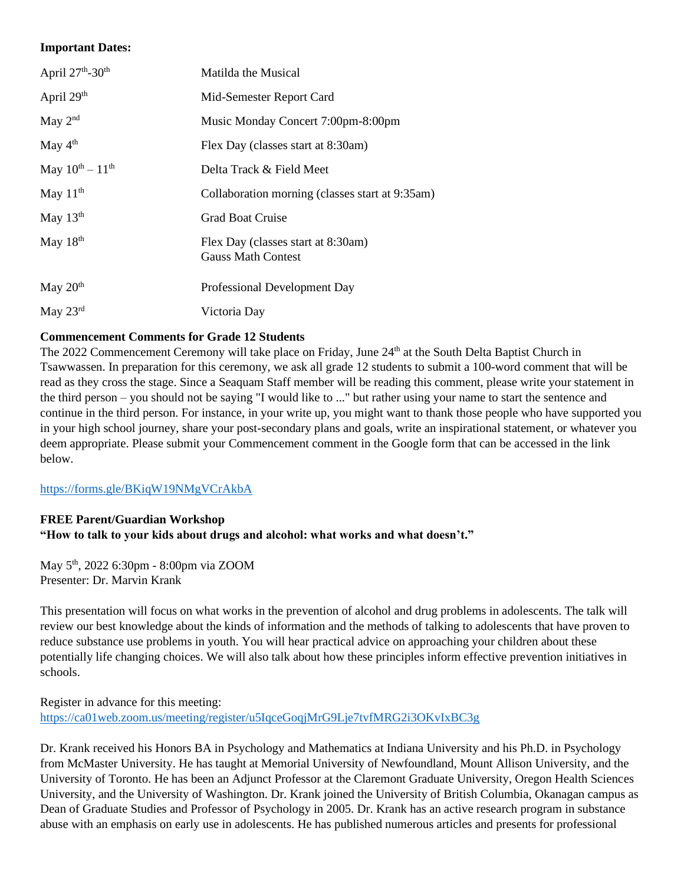### **Important Dates:**

| April 27th-30th         | Matilda the Musical                                             |
|-------------------------|-----------------------------------------------------------------|
| April 29th              | Mid-Semester Report Card                                        |
| May $2nd$               | Music Monday Concert 7:00pm-8:00pm                              |
| May 4 <sup>th</sup>     | Flex Day (classes start at 8:30am)                              |
| May $10^{th} - 11^{th}$ | Delta Track & Field Meet                                        |
| May $11th$              | Collaboration morning (classes start at 9:35am)                 |
| May $13th$              | <b>Grad Boat Cruise</b>                                         |
| May 18th                | Flex Day (classes start at 8:30am)<br><b>Gauss Math Contest</b> |
| May $20th$              | Professional Development Day                                    |
| May 23rd                | Victoria Day                                                    |

## **Commencement Comments for Grade 12 Students**

The 2022 Commencement Ceremony will take place on Friday, June 24<sup>th</sup> at the South Delta Baptist Church in Tsawwassen. In preparation for this ceremony, we ask all grade 12 students to submit a 100-word comment that will be read as they cross the stage. Since a Seaquam Staff member will be reading this comment, please write your statement in the third person – you should not be saying "I would like to ..." but rather using your name to start the sentence and continue in the third person. For instance, in your write up, you might want to thank those people who have supported you in your high school journey, share your post-secondary plans and goals, write an inspirational statement, or whatever you deem appropriate. Please submit your Commencement comment in the Google form that can be accessed in the link below.

<https://forms.gle/BKiqW19NMgVCrAkbA>

## **FREE Parent/Guardian Workshop "How to talk to your kids about drugs and alcohol: what works and what doesn't."**

May 5th, 2022 6:30pm - 8:00pm via ZOOM Presenter: Dr. Marvin Krank

This presentation will focus on what works in the prevention of alcohol and drug problems in adolescents. The talk will review our best knowledge about the kinds of information and the methods of talking to adolescents that have proven to reduce substance use problems in youth. You will hear practical advice on approaching your children about these potentially life changing choices. We will also talk about how these principles inform effective prevention initiatives in schools.

Register in advance for this meeting: <https://ca01web.zoom.us/meeting/register/u5IqceGoqjMrG9Lje7tvfMRG2i3OKvIxBC3g>

Dr. Krank received his Honors BA in Psychology and Mathematics at Indiana University and his Ph.D. in Psychology from McMaster University. He has taught at Memorial University of Newfoundland, Mount Allison University, and the University of Toronto. He has been an Adjunct Professor at the Claremont Graduate University, Oregon Health Sciences University, and the University of Washington. Dr. Krank joined the University of British Columbia, Okanagan campus as Dean of Graduate Studies and Professor of Psychology in 2005. Dr. Krank has an active research program in substance abuse with an emphasis on early use in adolescents. He has published numerous articles and presents for professional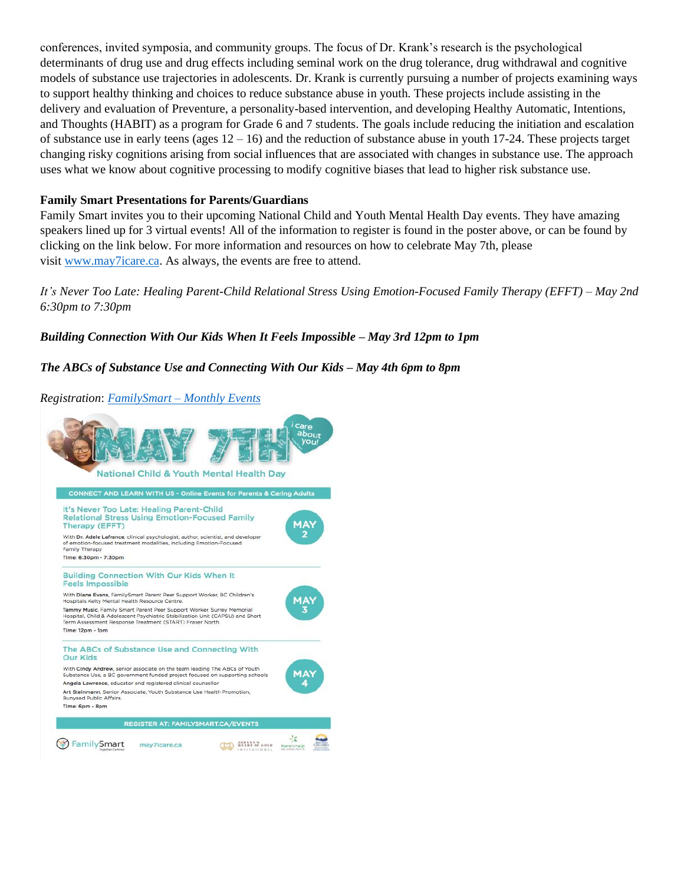conferences, invited symposia, and community groups. The focus of Dr. Krank's research is the psychological determinants of drug use and drug effects including seminal work on the drug tolerance, drug withdrawal and cognitive models of substance use trajectories in adolescents. Dr. Krank is currently pursuing a number of projects examining ways to support healthy thinking and choices to reduce substance abuse in youth. These projects include assisting in the delivery and evaluation of Preventure, a personality-based intervention, and developing Healthy Automatic, Intentions, and Thoughts (HABIT) as a program for Grade 6 and 7 students. The goals include reducing the initiation and escalation of substance use in early teens (ages  $12 - 16$ ) and the reduction of substance abuse in youth 17-24. These projects target changing risky cognitions arising from social influences that are associated with changes in substance use. The approach uses what we know about cognitive processing to modify cognitive biases that lead to higher risk substance use.

### **Family Smart Presentations for Parents/Guardians**

Family Smart invites you to their upcoming National Child and Youth Mental Health Day events. They have amazing speakers lined up for 3 virtual events! All of the information to register is found in the poster above, or can be found by clicking on the link below. For more information and resources on how to celebrate May 7th, please visit [www.may7icare.ca.](https://may7icare.ca/) As always, the events are free to attend.

It's Never Too Late: Healing Parent-Child Relational Stress Using Emotion-Focused Family Therapy (EFFT) – May 2nd *6:30pm to 7:30pm*

## *Building Connection With Our Kids When It Feels Impossible – May 3rd 12pm to 1pm*

## *The ABCs of Substance Use and Connecting With Our Kids – May 4th 6pm to 8pm*



*Registration*: *[FamilySmart](https://familysmart.ca/monthly-events/) – Monthly Events*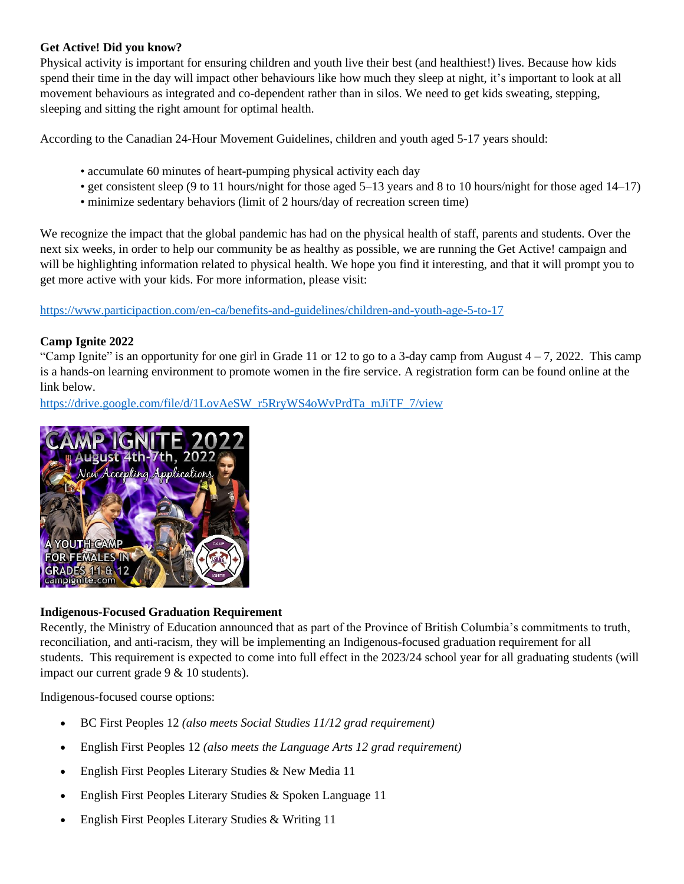## **Get Active! Did you know?**

Physical activity is important for ensuring children and youth live their best (and healthiest!) lives. Because how kids spend their time in the day will impact other behaviours like how much they sleep at night, it's important to look at all movement behaviours as integrated and co-dependent rather than in silos. We need to get kids sweating, stepping, sleeping and sitting the right amount for optimal health.

According to the Canadian 24-Hour Movement Guidelines, children and youth aged 5-17 years should:

- accumulate 60 minutes of heart-pumping physical activity each day
- get consistent sleep (9 to 11 hours/night for those aged 5–13 years and 8 to 10 hours/night for those aged 14–17)
- minimize sedentary behaviors (limit of 2 hours/day of recreation screen time)

We recognize the impact that the global pandemic has had on the physical health of staff, parents and students. Over the next six weeks, in order to help our community be as healthy as possible, we are running the Get Active! campaign and will be highlighting information related to physical health. We hope you find it interesting, and that it will prompt you to get more active with your kids. For more information, please visit:

<https://www.participaction.com/en-ca/benefits-and-guidelines/children-and-youth-age-5-to-17>

## **Camp Ignite 2022**

"Camp Ignite" is an opportunity for one girl in Grade 11 or 12 to go to a 3-day camp from August  $4 - 7$ , 2022. This camp is a hands-on learning environment to promote women in the fire service. A registration form can be found online at the link below.

[https://drive.google.com/file/d/1LovAeSW\\_r5RryWS4oWvPrdTa\\_mJiTF\\_7/view](https://drive.google.com/file/d/1LovAeSW_r5RryWS4oWvPrdTa_mJiTF_7/view)



## **Indigenous-Focused Graduation Requirement**

Recently, the Ministry of Education announced that as part of the Province of British Columbia's commitments to truth, reconciliation, and anti-racism, they will be implementing an Indigenous-focused graduation requirement for all students. This requirement is expected to come into full effect in the 2023/24 school year for all graduating students (will impact our current grade 9 & 10 students).

Indigenous-focused course options:

- BC First Peoples 12 *(also meets Social Studies 11/12 grad requirement)*
- English First Peoples 12 *(also meets the Language Arts 12 grad requirement)*
- English First Peoples Literary Studies & New Media 11
- English First Peoples Literary Studies & Spoken Language 11
- English First Peoples Literary Studies & Writing 11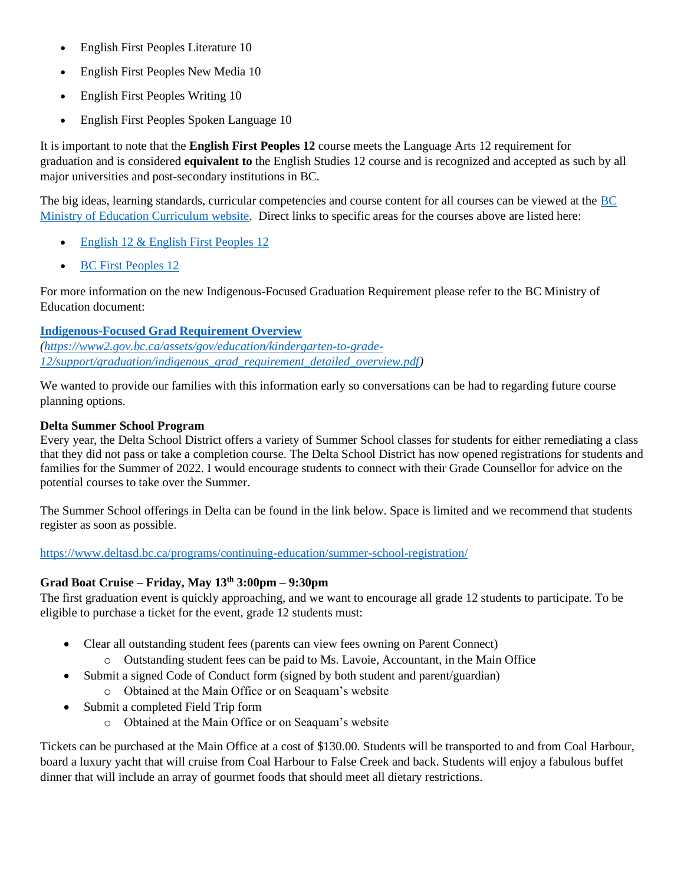- English First Peoples Literature 10
- English First Peoples New Media 10
- English First Peoples Writing 10
- English First Peoples Spoken Language 10

It is important to note that the **English First Peoples 12** course meets the Language Arts 12 requirement for graduation and is considered **equivalent to** the English Studies 12 course and is recognized and accepted as such by all major universities and post-secondary institutions in BC.

The big ideas, learning standards, curricular competencies and course content for all courses can be viewed at the BC [Ministry of Education Curriculum website.](https://curriculum.gov.bc.ca/) Direct links to specific areas for the courses above are listed here:

- [English 12 & English First Peoples 12](https://curriculum.gov.bc.ca/curriculum/english-language-arts/12/courses)
- [BC First Peoples](https://curriculum.gov.bc.ca/curriculum/social-studies/12/bc-first-peoples) 12

For more information on the new Indigenous-Focused Graduation Requirement please refer to the BC Ministry of Education document:

## **[Indigenous-Focused Grad Requirement Overview](https://www2.gov.bc.ca/assets/gov/education/kindergarten-to-grade-12/support/graduation/indigenous_grad_requirement_detailed_overview.pdf)**

*[\(https://www2.gov.bc.ca/assets/gov/education/kindergarten-to-grade-](https://www2.gov.bc.ca/assets/gov/education/kindergarten-to-grade-12/support/graduation/indigenous_grad_requirement_detailed_overview.pdf)[12/support/graduation/indigenous\\_grad\\_requirement\\_detailed\\_overview.pdf\)](https://www2.gov.bc.ca/assets/gov/education/kindergarten-to-grade-12/support/graduation/indigenous_grad_requirement_detailed_overview.pdf)*

We wanted to provide our families with this information early so conversations can be had to regarding future course planning options.

## **Delta Summer School Program**

Every year, the Delta School District offers a variety of Summer School classes for students for either remediating a class that they did not pass or take a completion course. The Delta School District has now opened registrations for students and families for the Summer of 2022. I would encourage students to connect with their Grade Counsellor for advice on the potential courses to take over the Summer.

The Summer School offerings in Delta can be found in the link below. Space is limited and we recommend that students register as soon as possible.

<https://www.deltasd.bc.ca/programs/continuing-education/summer-school-registration/>

# **Grad Boat Cruise – Friday, May 13th 3:00pm – 9:30pm**

The first graduation event is quickly approaching, and we want to encourage all grade 12 students to participate. To be eligible to purchase a ticket for the event, grade 12 students must:

- Clear all outstanding student fees (parents can view fees owning on Parent Connect)
	- o Outstanding student fees can be paid to Ms. Lavoie, Accountant, in the Main Office
- Submit a signed Code of Conduct form (signed by both student and parent/guardian)
	- o Obtained at the Main Office or on Seaquam's website
- Submit a completed Field Trip form
	- o Obtained at the Main Office or on Seaquam's website

Tickets can be purchased at the Main Office at a cost of \$130.00. Students will be transported to and from Coal Harbour, board a luxury yacht that will cruise from Coal Harbour to False Creek and back. Students will enjoy a fabulous buffet dinner that will include an array of gourmet foods that should meet all dietary restrictions.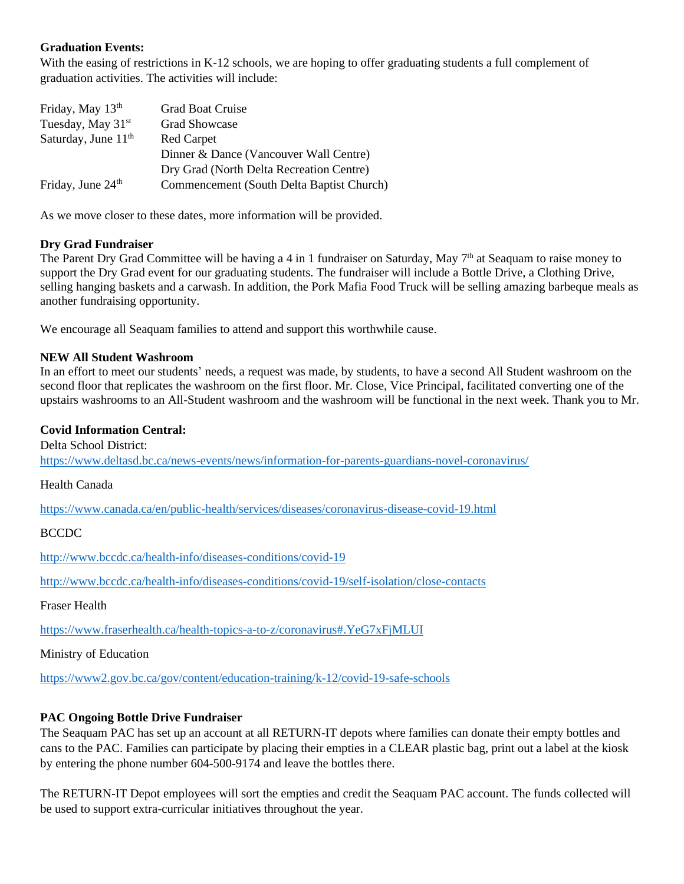### **Graduation Events:**

With the easing of restrictions in K-12 schools, we are hoping to offer graduating students a full complement of graduation activities. The activities will include:

| Friday, May 13th                | Grad Boat Cruise                          |
|---------------------------------|-------------------------------------------|
| Tuesday, May 31 <sup>st</sup>   | <b>Grad Showcase</b>                      |
| Saturday, June 11 <sup>th</sup> | <b>Red Carpet</b>                         |
|                                 | Dinner & Dance (Vancouver Wall Centre)    |
|                                 | Dry Grad (North Delta Recreation Centre)  |
| Friday, June 24 <sup>th</sup>   | Commencement (South Delta Baptist Church) |

As we move closer to these dates, more information will be provided.

### **Dry Grad Fundraiser**

The Parent Dry Grad Committee will be having a 4 in 1 fundraiser on Saturday, May  $7<sup>th</sup>$  at Seaquam to raise money to support the Dry Grad event for our graduating students. The fundraiser will include a Bottle Drive, a Clothing Drive, selling hanging baskets and a carwash. In addition, the Pork Mafia Food Truck will be selling amazing barbeque meals as another fundraising opportunity.

We encourage all Seaquam families to attend and support this worthwhile cause.

### **NEW All Student Washroom**

In an effort to meet our students' needs, a request was made, by students, to have a second All Student washroom on the second floor that replicates the washroom on the first floor. Mr. Close, Vice Principal, facilitated converting one of the upstairs washrooms to an All-Student washroom and the washroom will be functional in the next week. Thank you to Mr.

### **Covid Information Central:**

Delta School District: <https://www.deltasd.bc.ca/news-events/news/information-for-parents-guardians-novel-coronavirus/>

Health Canada

<https://www.canada.ca/en/public-health/services/diseases/coronavirus-disease-covid-19.html>

### **BCCDC**

<http://www.bccdc.ca/health-info/diseases-conditions/covid-19>

<http://www.bccdc.ca/health-info/diseases-conditions/covid-19/self-isolation/close-contacts>

Fraser Health

<https://www.fraserhealth.ca/health-topics-a-to-z/coronavirus#.YeG7xFjMLUI>

Ministry of Education

<https://www2.gov.bc.ca/gov/content/education-training/k-12/covid-19-safe-schools>

## **PAC Ongoing Bottle Drive Fundraiser**

The Seaquam PAC has set up an account at all RETURN-IT depots where families can donate their empty bottles and cans to the PAC. Families can participate by placing their empties in a CLEAR plastic bag, print out a label at the kiosk by entering the phone number 604-500-9174 and leave the bottles there.

The RETURN-IT Depot employees will sort the empties and credit the Seaquam PAC account. The funds collected will be used to support extra-curricular initiatives throughout the year.